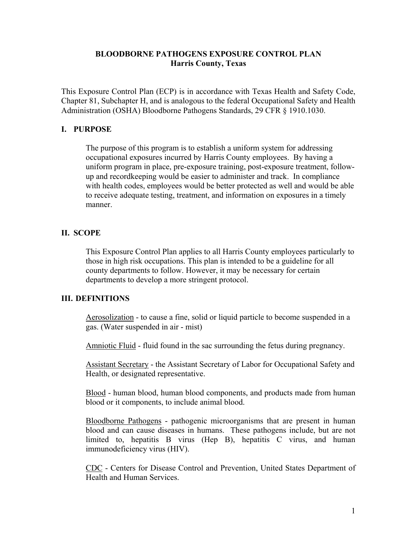## **BLOODBORNE PATHOGENS EXPOSURE CONTROL PLAN Harris County, Texas**

This Exposure Control Plan (ECP) is in accordance with Texas Health and Safety Code, Chapter 81, Subchapter H, and is analogous to the federal Occupational Safety and Health Administration (OSHA) Bloodborne Pathogens Standards, 29 CFR § 1910.1030.

## **I. PURPOSE**

The purpose of this program is to establish a uniform system for addressing occupational exposures incurred by Harris County employees. By having a uniform program in place, pre-exposure training, post-exposure treatment, followup and recordkeeping would be easier to administer and track. In compliance with health codes, employees would be better protected as well and would be able to receive adequate testing, treatment, and information on exposures in a timely manner.

## **II. SCOPE**

This Exposure Control Plan applies to all Harris County employees particularly to those in high risk occupations. This plan is intended to be a guideline for all county departments to follow. However, it may be necessary for certain departments to develop a more stringent protocol.

### **III. DEFINITIONS**

Aerosolization - to cause a fine, solid or liquid particle to become suspended in a gas. (Water suspended in air - mist)

Amniotic Fluid - fluid found in the sac surrounding the fetus during pregnancy.

Assistant Secretary - the Assistant Secretary of Labor for Occupational Safety and Health, or designated representative.

Blood - human blood, human blood components, and products made from human blood or it components, to include animal blood.

Bloodborne Pathogens - pathogenic microorganisms that are present in human blood and can cause diseases in humans. These pathogens include, but are not limited to, hepatitis B virus (Hep B), hepatitis C virus, and human immunodeficiency virus (HIV).

CDC - Centers for Disease Control and Prevention, United States Department of Health and Human Services.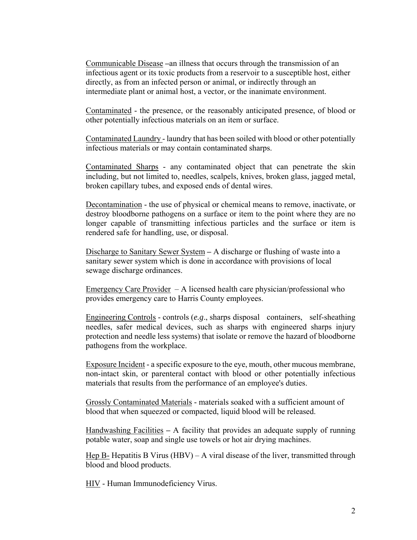Communicable Disease **–**an illness that occurs through the transmission of an infectious agent or its toxic products from a reservoir to a susceptible host, either directly, as from an infected person or animal, or indirectly through an intermediate plant or animal host, a vector, or the inanimate environment.

Contaminated - the presence, or the reasonably anticipated presence, of blood or other potentially infectious materials on an item or surface.

Contaminated Laundry - laundry that has been soiled with blood or other potentially infectious materials or may contain contaminated sharps.

Contaminated Sharps - any contaminated object that can penetrate the skin including, but not limited to, needles, scalpels, knives, broken glass, jagged metal, broken capillary tubes, and exposed ends of dental wires.

Decontamination - the use of physical or chemical means to remove, inactivate, or destroy bloodborne pathogens on a surface or item to the point where they are no longer capable of transmitting infectious particles and the surface or item is rendered safe for handling, use, or disposal.

Discharge to Sanitary Sewer System **–** A discharge or flushing of waste into a sanitary sewer system which is done in accordance with provisions of local sewage discharge ordinances.

Emergency Care Provider  $-A$  licensed health care physician/professional who provides emergency care to Harris County employees.

Engineering Controls - controls (*e.g*., sharps disposal containers, self-sheathing needles, safer medical devices, such as sharps with engineered sharps injury protection and needle less systems) that isolate or remove the hazard of bloodborne pathogens from the workplace.

Exposure Incident - a specific exposure to the eye, mouth, other mucous membrane, non-intact skin, or parenteral contact with blood or other potentially infectious materials that results from the performance of an employee's duties.

Grossly Contaminated Materials - materials soaked with a sufficient amount of blood that when squeezed or compacted, liquid blood will be released.

Handwashing Facilities **–** A facility that provides an adequate supply of running potable water, soap and single use towels or hot air drying machines.

Hep B- Hepatitis B Virus (HBV) – A viral disease of the liver, transmitted through blood and blood products.

HIV - Human Immunodeficiency Virus.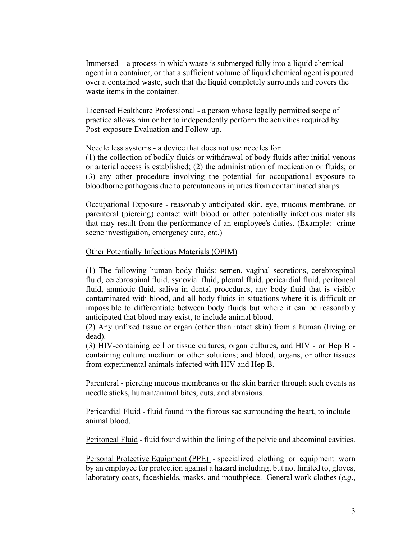Immersed **–** a process in which waste is submerged fully into a liquid chemical agent in a container, or that a sufficient volume of liquid chemical agent is poured over a contained waste, such that the liquid completely surrounds and covers the waste items in the container.

Licensed Healthcare Professional - a person whose legally permitted scope of practice allows him or her to independently perform the activities required by Post-exposure Evaluation and Follow-up.

Needle less systems - a device that does not use needles for:

(1) the collection of bodily fluids or withdrawal of body fluids after initial venous or arterial access is established; (2) the administration of medication or fluids; or (3) any other procedure involving the potential for occupational exposure to bloodborne pathogens due to percutaneous injuries from contaminated sharps.

Occupational Exposure - reasonably anticipated skin, eye, mucous membrane, or parenteral (piercing) contact with blood or other potentially infectious materials that may result from the performance of an employee's duties. (Example: crime scene investigation, emergency care, *etc*.)

#### Other Potentially Infectious Materials (OPIM)

(1) The following human body fluids: semen, vaginal secretions, cerebrospinal fluid, cerebrospinal fluid, synovial fluid, pleural fluid, pericardial fluid, peritoneal fluid, amniotic fluid, saliva in dental procedures, any body fluid that is visibly contaminated with blood, and all body fluids in situations where it is difficult or impossible to differentiate between body fluids but where it can be reasonably anticipated that blood may exist, to include animal blood.

(2) Any unfixed tissue or organ (other than intact skin) from a human (living or dead).

(3) HIV-containing cell or tissue cultures, organ cultures, and HIV - or Hep B containing culture medium or other solutions; and blood, organs, or other tissues from experimental animals infected with HIV and Hep B.

Parenteral - piercing mucous membranes or the skin barrier through such events as needle sticks, human/animal bites, cuts, and abrasions.

Pericardial Fluid - fluid found in the fibrous sac surrounding the heart, to include animal blood.

Peritoneal Fluid - fluid found within the lining of the pelvic and abdominal cavities.

Personal Protective Equipment (PPE) - specialized clothing or equipment worn by an employee for protection against a hazard including, but not limited to, gloves, laboratory coats, faceshields, masks, and mouthpiece. General work clothes (*e.g*.,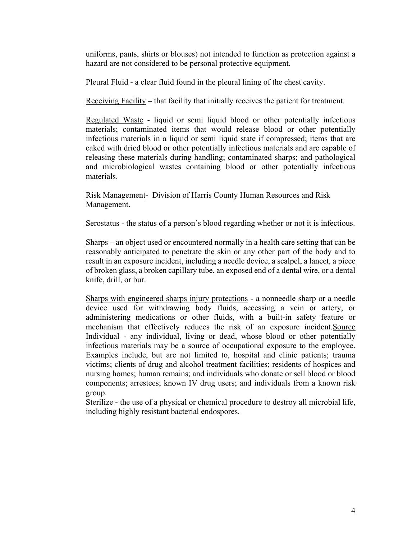uniforms, pants, shirts or blouses) not intended to function as protection against a hazard are not considered to be personal protective equipment.

Pleural Fluid - a clear fluid found in the pleural lining of the chest cavity.

Receiving Facility **–** that facility that initially receives the patient for treatment.

Regulated Waste - liquid or semi liquid blood or other potentially infectious materials; contaminated items that would release blood or other potentially infectious materials in a liquid or semi liquid state if compressed; items that are caked with dried blood or other potentially infectious materials and are capable of releasing these materials during handling; contaminated sharps; and pathological and microbiological wastes containing blood or other potentially infectious materials.

Risk Management- Division of Harris County Human Resources and Risk Management.

Serostatus - the status of a person's blood regarding whether or not it is infectious.

Sharps – an object used or encountered normally in a health care setting that can be reasonably anticipated to penetrate the skin or any other part of the body and to result in an exposure incident, including a needle device, a scalpel, a lancet, a piece of broken glass, a broken capillary tube, an exposed end of a dental wire, or a dental knife, drill, or bur.

Sharps with engineered sharps injury protections - a nonneedle sharp or a needle device used for withdrawing body fluids, accessing a vein or artery, or administering medications or other fluids, with a built-in safety feature or mechanism that effectively reduces the risk of an exposure incident.Source Individual - any individual, living or dead, whose blood or other potentially infectious materials may be a source of occupational exposure to the employee. Examples include, but are not limited to, hospital and clinic patients; trauma victims; clients of drug and alcohol treatment facilities; residents of hospices and nursing homes; human remains; and individuals who donate or sell blood or blood components; arrestees; known IV drug users; and individuals from a known risk group.

Sterilize - the use of a physical or chemical procedure to destroy all microbial life, including highly resistant bacterial endospores.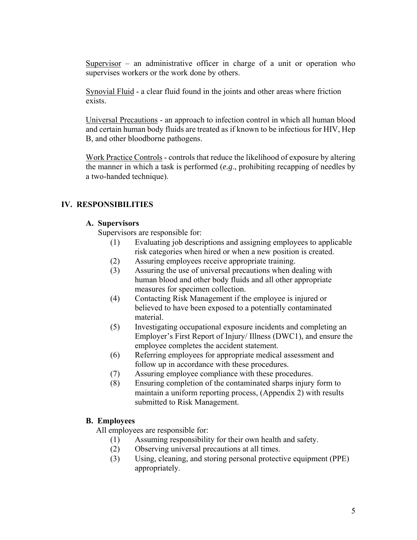Supervisor – an administrative officer in charge of a unit or operation who supervises workers or the work done by others.

Synovial Fluid - a clear fluid found in the joints and other areas where friction exists.

Universal Precautions - an approach to infection control in which all human blood and certain human body fluids are treated as if known to be infectious for HIV, Hep B, and other bloodborne pathogens.

Work Practice Controls - controls that reduce the likelihood of exposure by altering the manner in which a task is performed (*e.g*., prohibiting recapping of needles by a two-handed technique).

# **IV. RESPONSIBILITIES**

## **A. Supervisors**

Supervisors are responsible for:

- (1) Evaluating job descriptions and assigning employees to applicable risk categories when hired or when a new position is created.
- (2) Assuring employees receive appropriate training.
- (3) Assuring the use of universal precautions when dealing with human blood and other body fluids and all other appropriate measures for specimen collection.
- (4) Contacting Risk Management if the employee is injured or believed to have been exposed to a potentially contaminated material.
- (5) Investigating occupational exposure incidents and completing an Employer's First Report of Injury/ Illness (DWC1), and ensure the employee completes the accident statement.
- (6) Referring employees for appropriate medical assessment and follow up in accordance with these procedures.
- (7) Assuring employee compliance with these procedures.
- (8) Ensuring completion of the contaminated sharps injury form to maintain a uniform reporting process, (Appendix 2) with results submitted to Risk Management.

## **B. Employees**

All employees are responsible for:

- (1) Assuming responsibility for their own health and safety.
- (2) Observing universal precautions at all times.
- (3) Using, cleaning, and storing personal protective equipment (PPE) appropriately.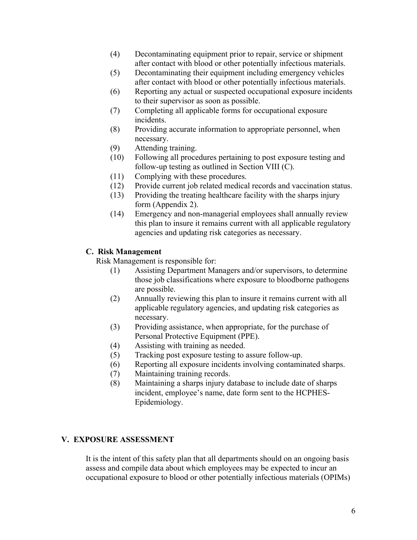- (4) Decontaminating equipment prior to repair, service or shipment after contact with blood or other potentially infectious materials.
- (5) Decontaminating their equipment including emergency vehicles after contact with blood or other potentially infectious materials.
- (6) Reporting any actual or suspected occupational exposure incidents to their supervisor as soon as possible.
- (7) Completing all applicable forms for occupational exposure incidents.
- (8) Providing accurate information to appropriate personnel, when necessary.
- (9) Attending training.
- (10) Following all procedures pertaining to post exposure testing and follow-up testing as outlined in Section VIII (C).
- (11) Complying with these procedures.
- (12) Provide current job related medical records and vaccination status.
- (13) Providing the treating healthcare facility with the sharps injury form (Appendix 2).
- (14) Emergency and non-managerial employees shall annually review this plan to insure it remains current with all applicable regulatory agencies and updating risk categories as necessary.

## **C. Risk Management**

Risk Management is responsible for:

- (1) Assisting Department Managers and/or supervisors, to determine those job classifications where exposure to bloodborne pathogens are possible.
- (2) Annually reviewing this plan to insure it remains current with all applicable regulatory agencies, and updating risk categories as necessary.
- (3) Providing assistance, when appropriate, for the purchase of Personal Protective Equipment (PPE).
- (4) Assisting with training as needed.
- (5) Tracking post exposure testing to assure follow-up.
- (6) Reporting all exposure incidents involving contaminated sharps.
- (7) Maintaining training records.
- (8) Maintaining a sharps injury database to include date of sharps incident, employee's name, date form sent to the HCPHES-Epidemiology.

## **V. EXPOSURE ASSESSMENT**

It is the intent of this safety plan that all departments should on an ongoing basis assess and compile data about which employees may be expected to incur an occupational exposure to blood or other potentially infectious materials (OPIMs)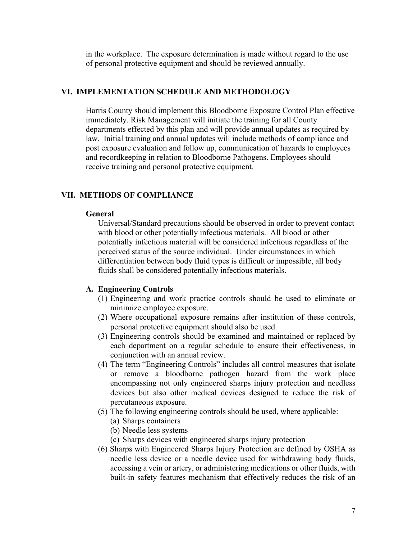in the workplace. The exposure determination is made without regard to the use of personal protective equipment and should be reviewed annually.

## **VI. IMPLEMENTATION SCHEDULE AND METHODOLOGY**

Harris County should implement this Bloodborne Exposure Control Plan effective immediately. Risk Management will initiate the training for all County departments effected by this plan and will provide annual updates as required by law. Initial training and annual updates will include methods of compliance and post exposure evaluation and follow up, communication of hazards to employees and recordkeeping in relation to Bloodborne Pathogens. Employees should receive training and personal protective equipment.

#### **VII. METHODS OF COMPLIANCE**

#### **General**

Universal/Standard precautions should be observed in order to prevent contact with blood or other potentially infectious materials. All blood or other potentially infectious material will be considered infectious regardless of the perceived status of the source individual. Under circumstances in which differentiation between body fluid types is difficult or impossible, all body fluids shall be considered potentially infectious materials.

### **A. Engineering Controls**

- (1) Engineering and work practice controls should be used to eliminate or minimize employee exposure.
- (2) Where occupational exposure remains after institution of these controls, personal protective equipment should also be used.
- (3) Engineering controls should be examined and maintained or replaced by each department on a regular schedule to ensure their effectiveness, in conjunction with an annual review.
- (4) The term "Engineering Controls" includes all control measures that isolate or remove a bloodborne pathogen hazard from the work place encompassing not only engineered sharps injury protection and needless devices but also other medical devices designed to reduce the risk of percutaneous exposure.
- (5) The following engineering controls should be used, where applicable:
	- (a) Sharps containers
	- (b) Needle less systems
	- (c) Sharps devices with engineered sharps injury protection
- (6) Sharps with Engineered Sharps Injury Protection are defined by OSHA as needle less device or a needle device used for withdrawing body fluids, accessing a vein or artery, or administering medications or other fluids, with built-in safety features mechanism that effectively reduces the risk of an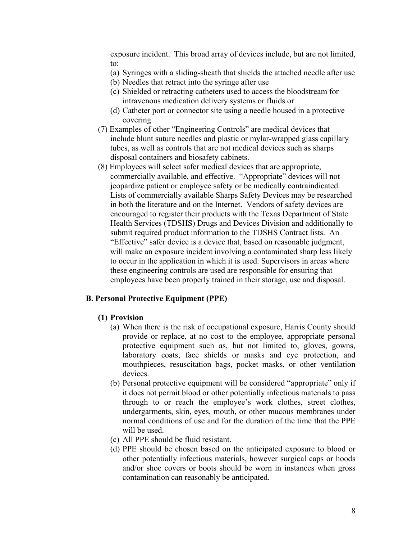exposure incident. This broad array of devices include, but are not limited, to:

- (a) Syringes with a sliding-sheath that shields the attached needle after use
- (b) Needles that retract into the syringe after use
- (c) Shielded or retracting catheters used to access the bloodstream for intravenous medication delivery systems or fluids or
- (d) Catheter port or connector site using a needle housed in a protective covering
- (7) Examples of other "Engineering Controls" are medical devices that include blunt suture needles and plastic or mylar-wrapped glass capillary tubes, as well as controls that are not medical devices such as sharps disposal containers and biosafety cabinets.
- (8) Employees will select safer medical devices that are appropriate, commercially available, and effective. "Appropriate" devices will not jeopardize patient or employee safety or be medically contraindicated. Lists of commercially available Sharps Safety Devices may be researched in both the literature and on the Internet. Vendors of safety devices are encouraged to register their products with the Texas Department of State Health Services (TDSHS) Drugs and Devices Division and additionally to submit required product information to the TDSHS Contract lists. An "Effective" safer device is a device that, based on reasonable judgment, will make an exposure incident involving a contaminated sharp less likely to occur in the application in which it is used. Supervisors in areas where these engineering controls are used are responsible for ensuring that employees have been properly trained in their storage, use and disposal.

#### **B. Personal Protective Equipment (PPE)**

#### **(1) Provision**

- (a) When there is the risk of occupational exposure, Harris County should provide or replace, at no cost to the employee, appropriate personal protective equipment such as, but not limited to, gloves, gowns, laboratory coats, face shields or masks and eye protection, and mouthpieces, resuscitation bags, pocket masks, or other ventilation devices.
- (b) Personal protective equipment will be considered "appropriate" only if it does not permit blood or other potentially infectious materials to pass through to or reach the employee's work clothes, street clothes, undergarments, skin, eyes, mouth, or other mucous membranes under normal conditions of use and for the duration of the time that the PPE will be used.
- (c) All PPE should be fluid resistant.
- (d) PPE should be chosen based on the anticipated exposure to blood or other potentially infectious materials, however surgical caps or hoods and/or shoe covers or boots should be worn in instances when gross contamination can reasonably be anticipated.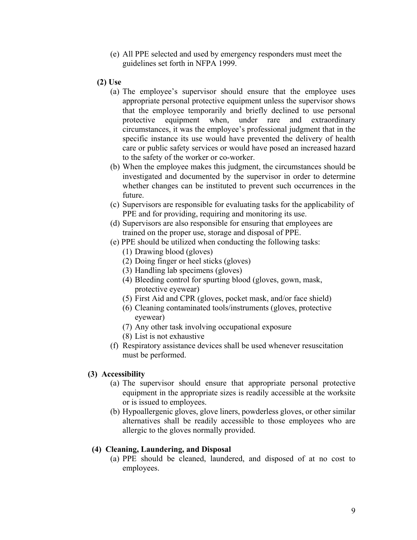- (e) All PPE selected and used by emergency responders must meet the guidelines set forth in NFPA 1999.
- **(2) Use**
	- (a) The employee's supervisor should ensure that the employee uses appropriate personal protective equipment unless the supervisor shows that the employee temporarily and briefly declined to use personal protective equipment when, under rare and extraordinary circumstances, it was the employee's professional judgment that in the specific instance its use would have prevented the delivery of health care or public safety services or would have posed an increased hazard to the safety of the worker or co-worker.
	- (b) When the employee makes this judgment, the circumstances should be investigated and documented by the supervisor in order to determine whether changes can be instituted to prevent such occurrences in the future.
	- (c) Supervisors are responsible for evaluating tasks for the applicability of PPE and for providing, requiring and monitoring its use.
	- (d) Supervisors are also responsible for ensuring that employees are trained on the proper use, storage and disposal of PPE.
	- (e) PPE should be utilized when conducting the following tasks:
		- (1) Drawing blood (gloves)
		- (2) Doing finger or heel sticks (gloves)
		- (3) Handling lab specimens (gloves)
		- (4) Bleeding control for spurting blood (gloves, gown, mask, protective eyewear)
		- (5) First Aid and CPR (gloves, pocket mask, and/or face shield)
		- (6) Cleaning contaminated tools/instruments (gloves, protective eyewear)
		- (7) Any other task involving occupational exposure
		- (8) List is not exhaustive
	- (f) Respiratory assistance devices shall be used whenever resuscitation must be performed.

### **(3) Accessibility**

- (a) The supervisor should ensure that appropriate personal protective equipment in the appropriate sizes is readily accessible at the worksite or is issued to employees.
- (b) Hypoallergenic gloves, glove liners, powderless gloves, or other similar alternatives shall be readily accessible to those employees who are allergic to the gloves normally provided.

### **(4) Cleaning, Laundering, and Disposal**

(a) PPE should be cleaned, laundered, and disposed of at no cost to employees.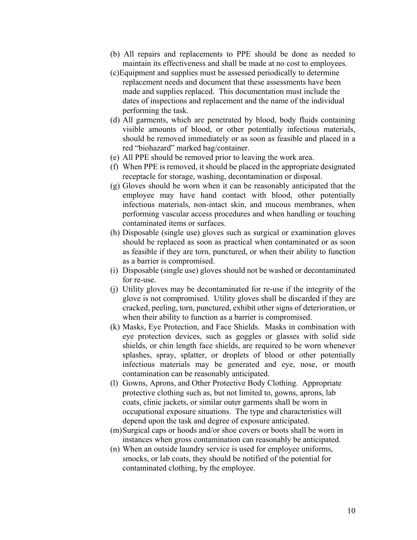- (b) All repairs and replacements to PPE should be done as needed to maintain its effectiveness and shall be made at no cost to employees.
- (c)Equipment and supplies must be assessed periodically to determine replacement needs and document that these assessments have been made and supplies replaced. This documentation must include the dates of inspections and replacement and the name of the individual performing the task.
- (d) All garments, which are penetrated by blood, body fluids containing visible amounts of blood, or other potentially infectious materials, should be removed immediately or as soon as feasible and placed in a red "biohazard" marked bag/container.
- (e) All PPE should be removed prior to leaving the work area.
- (f) When PPE is removed, it should be placed in the appropriate designated receptacle for storage, washing, decontamination or disposal.
- (g) Gloves should be worn when it can be reasonably anticipated that the employee may have hand contact with blood, other potentially infectious materials, non-intact skin, and mucous membranes, when performing vascular access procedures and when handling or touching contaminated items or surfaces.
- (h) Disposable (single use) gloves such as surgical or examination gloves should be replaced as soon as practical when contaminated or as soon as feasible if they are torn, punctured, or when their ability to function as a barrier is compromised.
- (i) Disposable (single use) gloves should not be washed or decontaminated for re-use.
- (j) Utility gloves may be decontaminated for re-use if the integrity of the glove is not compromised. Utility gloves shall be discarded if they are cracked, peeling, torn, punctured, exhibit other signs of deterioration, or when their ability to function as a barrier is compromised.
- (k) Masks, Eye Protection, and Face Shields. Masks in combination with eye protection devices, such as goggles or glasses with solid side shields, or chin length face shields, are required to be worn whenever splashes, spray, splatter, or droplets of blood or other potentially infectious materials may be generated and eye, nose, or mouth contamination can be reasonably anticipated.
- (l) Gowns, Aprons, and Other Protective Body Clothing. Appropriate protective clothing such as, but not limited to, gowns, aprons, lab coats, clinic jackets, or similar outer garments shall be worn in occupational exposure situations. The type and characteristics will depend upon the task and degree of exposure anticipated.
- (m)Surgical caps or hoods and/or shoe covers or boots shall be worn in instances when gross contamination can reasonably be anticipated.
- (n) When an outside laundry service is used for employee uniforms, smocks, or lab coats, they should be notified of the potential for contaminated clothing, by the employee.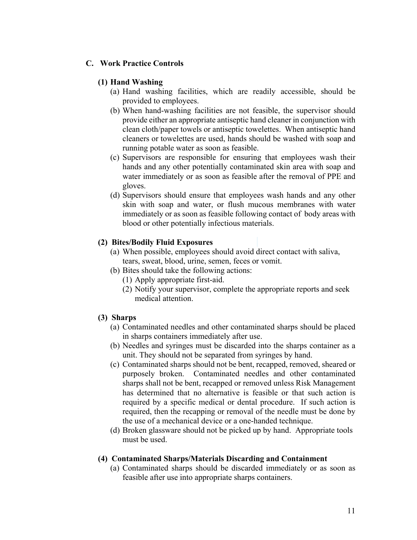## **C. Work Practice Controls**

### **(1) Hand Washing**

- (a) Hand washing facilities, which are readily accessible, should be provided to employees.
- (b) When hand-washing facilities are not feasible, the supervisor should provide either an appropriate antiseptic hand cleaner in conjunction with clean cloth/paper towels or antiseptic towelettes. When antiseptic hand cleaners or towelettes are used, hands should be washed with soap and running potable water as soon as feasible.
- (c) Supervisors are responsible for ensuring that employees wash their hands and any other potentially contaminated skin area with soap and water immediately or as soon as feasible after the removal of PPE and gloves.
- (d) Supervisors should ensure that employees wash hands and any other skin with soap and water, or flush mucous membranes with water immediately or as soon as feasible following contact of body areas with blood or other potentially infectious materials.

### **(2) Bites/Bodily Fluid Exposures**

- (a) When possible, employees should avoid direct contact with saliva, tears, sweat, blood, urine, semen, feces or vomit.
- (b) Bites should take the following actions:
	- (1) Apply appropriate first-aid.
	- (2) Notify your supervisor, complete the appropriate reports and seek medical attention.

## **(3) Sharps**

- (a) Contaminated needles and other contaminated sharps should be placed in sharps containers immediately after use.
- (b) Needles and syringes must be discarded into the sharps container as a unit. They should not be separated from syringes by hand.
- (c) Contaminated sharps should not be bent, recapped, removed, sheared or purposely broken. Contaminated needles and other contaminated sharps shall not be bent, recapped or removed unless Risk Management has determined that no alternative is feasible or that such action is required by a specific medical or dental procedure. If such action is required, then the recapping or removal of the needle must be done by the use of a mechanical device or a one-handed technique.
- (d) Broken glassware should not be picked up by hand. Appropriate tools must be used.

## **(4) Contaminated Sharps/Materials Discarding and Containment**

(a) Contaminated sharps should be discarded immediately or as soon as feasible after use into appropriate sharps containers.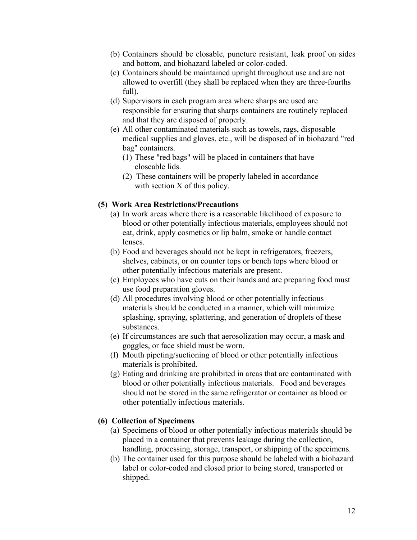- (b) Containers should be closable, puncture resistant, leak proof on sides and bottom, and biohazard labeled or color-coded.
- (c) Containers should be maintained upright throughout use and are not allowed to overfill (they shall be replaced when they are three-fourths full).
- (d) Supervisors in each program area where sharps are used are responsible for ensuring that sharps containers are routinely replaced and that they are disposed of properly.
- (e) All other contaminated materials such as towels, rags, disposable medical supplies and gloves, etc., will be disposed of in biohazard "red bag" containers.
	- (1) These "red bags" will be placed in containers that have closeable lids.
	- (2) These containers will be properly labeled in accordance with section X of this policy.

## **(5) Work Area Restrictions/Precautions**

- (a) In work areas where there is a reasonable likelihood of exposure to blood or other potentially infectious materials, employees should not eat, drink, apply cosmetics or lip balm, smoke or handle contact lenses.
- (b) Food and beverages should not be kept in refrigerators, freezers, shelves, cabinets, or on counter tops or bench tops where blood or other potentially infectious materials are present.
- (c) Employees who have cuts on their hands and are preparing food must use food preparation gloves.
- (d) All procedures involving blood or other potentially infectious materials should be conducted in a manner, which will minimize splashing, spraying, splattering, and generation of droplets of these substances.
- (e) If circumstances are such that aerosolization may occur, a mask and goggles, or face shield must be worn.
- (f) Mouth pipeting/suctioning of blood or other potentially infectious materials is prohibited.
- (g) Eating and drinking are prohibited in areas that are contaminated with blood or other potentially infectious materials. Food and beverages should not be stored in the same refrigerator or container as blood or other potentially infectious materials.

## **(6) Collection of Specimens**

- (a) Specimens of blood or other potentially infectious materials should be placed in a container that prevents leakage during the collection, handling, processing, storage, transport, or shipping of the specimens.
- (b) The container used for this purpose should be labeled with a biohazard label or color-coded and closed prior to being stored, transported or shipped.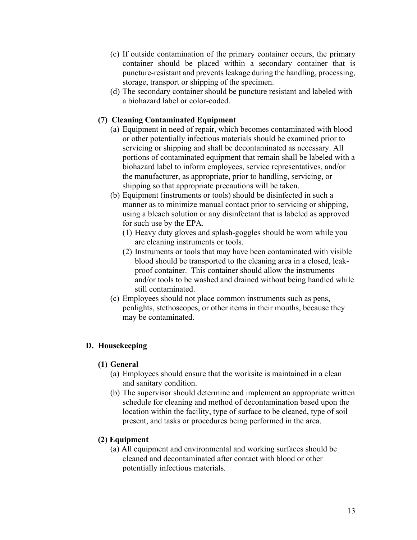- (c) If outside contamination of the primary container occurs, the primary container should be placed within a secondary container that is puncture-resistant and prevents leakage during the handling, processing, storage, transport or shipping of the specimen.
- (d) The secondary container should be puncture resistant and labeled with a biohazard label or color-coded.

## **(7) Cleaning Contaminated Equipment**

- (a) Equipment in need of repair, which becomes contaminated with blood or other potentially infectious materials should be examined prior to servicing or shipping and shall be decontaminated as necessary. All portions of contaminated equipment that remain shall be labeled with a biohazard label to inform employees, service representatives, and/or the manufacturer, as appropriate, prior to handling, servicing, or shipping so that appropriate precautions will be taken.
- (b) Equipment (instruments or tools) should be disinfected in such a manner as to minimize manual contact prior to servicing or shipping, using a bleach solution or any disinfectant that is labeled as approved for such use by the EPA.
	- (1) Heavy duty gloves and splash-goggles should be worn while you are cleaning instruments or tools.
	- (2) Instruments or tools that may have been contaminated with visible blood should be transported to the cleaning area in a closed, leakproof container. This container should allow the instruments and/or tools to be washed and drained without being handled while still contaminated.
- (c) Employees should not place common instruments such as pens, penlights, stethoscopes, or other items in their mouths, because they may be contaminated.

## **D. Housekeeping**

## **(1) General**

- (a) Employees should ensure that the worksite is maintained in a clean and sanitary condition.
- (b) The supervisor should determine and implement an appropriate written schedule for cleaning and method of decontamination based upon the location within the facility, type of surface to be cleaned, type of soil present, and tasks or procedures being performed in the area.

## **(2) Equipment**

(a) All equipment and environmental and working surfaces should be cleaned and decontaminated after contact with blood or other potentially infectious materials.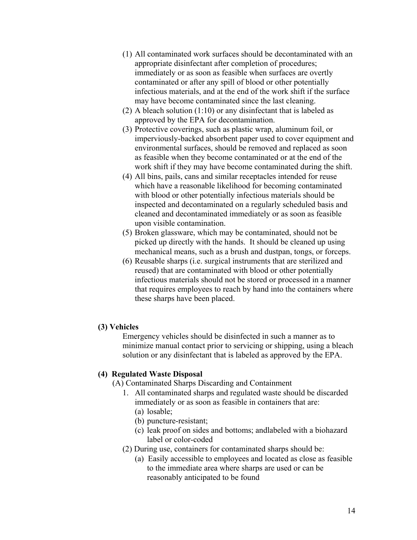- (1) All contaminated work surfaces should be decontaminated with an appropriate disinfectant after completion of procedures; immediately or as soon as feasible when surfaces are overtly contaminated or after any spill of blood or other potentially infectious materials, and at the end of the work shift if the surface may have become contaminated since the last cleaning.
- (2) A bleach solution  $(1:10)$  or any disinfectant that is labeled as approved by the EPA for decontamination.
- (3) Protective coverings, such as plastic wrap, aluminum foil, or imperviously-backed absorbent paper used to cover equipment and environmental surfaces, should be removed and replaced as soon as feasible when they become contaminated or at the end of the work shift if they may have become contaminated during the shift.
- (4) All bins, pails, cans and similar receptacles intended for reuse which have a reasonable likelihood for becoming contaminated with blood or other potentially infectious materials should be inspected and decontaminated on a regularly scheduled basis and cleaned and decontaminated immediately or as soon as feasible upon visible contamination.
- (5) Broken glassware, which may be contaminated, should not be picked up directly with the hands. It should be cleaned up using mechanical means, such as a brush and dustpan, tongs, or forceps.
- (6) Reusable sharps (i.e. surgical instruments that are sterilized and reused) that are contaminated with blood or other potentially infectious materials should not be stored or processed in a manner that requires employees to reach by hand into the containers where these sharps have been placed.

### **(3) Vehicles**

Emergency vehicles should be disinfected in such a manner as to minimize manual contact prior to servicing or shipping, using a bleach solution or any disinfectant that is labeled as approved by the EPA.

#### **(4) Regulated Waste Disposal**

(A) Contaminated Sharps Discarding and Containment

- 1. All contaminated sharps and regulated waste should be discarded immediately or as soon as feasible in containers that are:
	- (a) losable;
	- (b) puncture-resistant;
	- (c) leak proof on sides and bottoms; andlabeled with a biohazard label or color-coded
- (2) During use, containers for contaminated sharps should be:
	- (a) Easily accessible to employees and located as close as feasible to the immediate area where sharps are used or can be reasonably anticipated to be found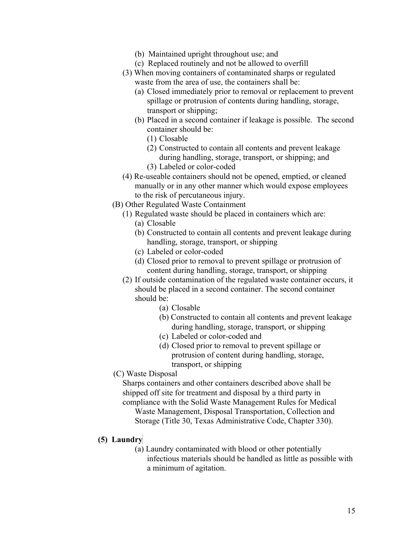- (b) Maintained upright throughout use; and
- (c) Replaced routinely and not be allowed to overfill
- (3) When moving containers of contaminated sharps or regulated waste from the area of use, the containers shall be:
	- (a) Closed immediately prior to removal or replacement to prevent spillage or protrusion of contents during handling, storage, transport or shipping;
	- (b) Placed in a second container if leakage is possible. The second container should be:
		- (1) Closable
		- (2) Constructed to contain all contents and prevent leakage during handling, storage, transport, or shipping; and
		- (3) Labeled or color-coded
- (4) Re-useable containers should not be opened, emptied, or cleaned manually or in any other manner which would expose employees to the risk of percutaneous injury.
- (B) Other Regulated Waste Containment
	- (1) Regulated waste should be placed in containers which are:
		- (a) Closable
		- (b) Constructed to contain all contents and prevent leakage during handling, storage, transport, or shipping
		- (c) Labeled or color-coded
		- (d) Closed prior to removal to prevent spillage or protrusion of content during handling, storage, transport, or shipping
	- (2) If outside contamination of the regulated waste container occurs, it should be placed in a second container. The second container should be:
		- (a) Closable
		- (b) Constructed to contain all contents and prevent leakage during handling, storage, transport, or shipping
		- (c) Labeled or color-coded and
		- (d) Closed prior to removal to prevent spillage or protrusion of content during handling, storage, transport, or shipping
- (C) Waste Disposal

Sharps containers and other containers described above shall be shipped off site for treatment and disposal by a third party in compliance with the Solid Waste Management Rules for Medical Waste Management, Disposal Transportation, Collection and Storage (Title 30, Texas Administrative Code, Chapter 330).

### **(5) Laundry**

(a) Laundry contaminated with blood or other potentially infectious materials should be handled as little as possible with a minimum of agitation.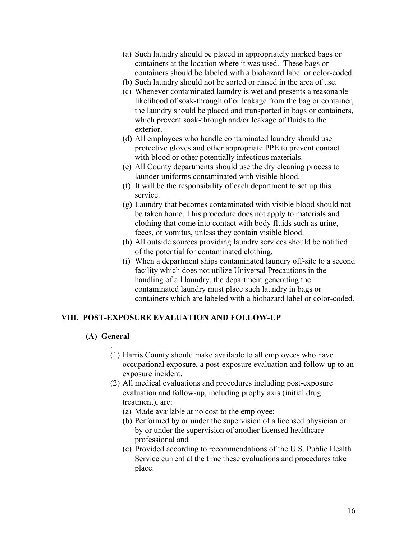- (a) Such laundry should be placed in appropriately marked bags or containers at the location where it was used. These bags or containers should be labeled with a biohazard label or color-coded.
- (b) Such laundry should not be sorted or rinsed in the area of use.
- (c) Whenever contaminated laundry is wet and presents a reasonable likelihood of soak-through of or leakage from the bag or container, the laundry should be placed and transported in bags or containers, which prevent soak-through and/or leakage of fluids to the exterior.
- (d) All employees who handle contaminated laundry should use protective gloves and other appropriate PPE to prevent contact with blood or other potentially infectious materials.
- (e) All County departments should use the dry cleaning process to launder uniforms contaminated with visible blood.
- (f) It will be the responsibility of each department to set up this service.
- (g) Laundry that becomes contaminated with visible blood should not be taken home. This procedure does not apply to materials and clothing that come into contact with body fluids such as urine, feces, or vomitus, unless they contain visible blood.
- (h) All outside sources providing laundry services should be notified of the potential for contaminated clothing.
- (i) When a department ships contaminated laundry off-site to a second facility which does not utilize Universal Precautions in the handling of all laundry, the department generating the contaminated laundry must place such laundry in bags or containers which are labeled with a biohazard label or color-coded.

## **VIII. POST-EXPOSURE EVALUATION AND FOLLOW-UP**

## **(A) General**

- . (1) Harris County should make available to all employees who have occupational exposure, a post-exposure evaluation and follow-up to an exposure incident.
- (2) All medical evaluations and procedures including post-exposure evaluation and follow-up, including prophylaxis (initial drug treatment), are:
	- (a) Made available at no cost to the employee;
	- (b) Performed by or under the supervision of a licensed physician or by or under the supervision of another licensed healthcare professional and
	- (c) Provided according to recommendations of the U.S. Public Health Service current at the time these evaluations and procedures take place.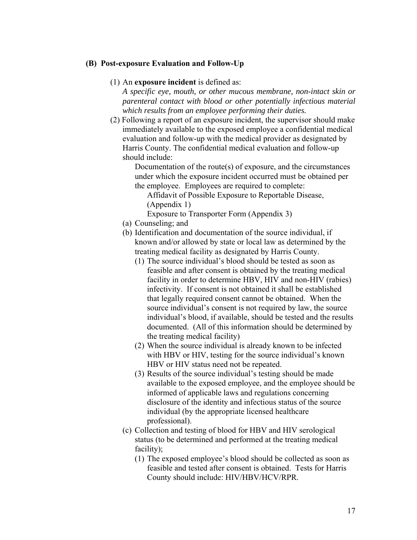### **(B) Post-exposure Evaluation and Follow-Up**

### (1) An **exposure incident** is defined as:

*A specific eye, mouth, or other mucous membrane, non-intact skin or parenteral contact with blood or other potentially infectious material which results from an employee performing their duties.* 

(2) Following a report of an exposure incident, the supervisor should make immediately available to the exposed employee a confidential medical evaluation and follow-up with the medical provider as designated by Harris County. The confidential medical evaluation and follow-up should include:

> Documentation of the route(s) of exposure, and the circumstances under which the exposure incident occurred must be obtained per the employee. Employees are required to complete:

Affidavit of Possible Exposure to Reportable Disease, (Appendix 1)

Exposure to Transporter Form (Appendix 3)

- (a) Counseling; and
- (b) Identification and documentation of the source individual, if known and/or allowed by state or local law as determined by the treating medical facility as designated by Harris County.
	- (1) The source individual's blood should be tested as soon as feasible and after consent is obtained by the treating medical facility in order to determine HBV, HIV and non-HIV (rabies) infectivity. If consent is not obtained it shall be established that legally required consent cannot be obtained. When the source individual's consent is not required by law, the source individual's blood, if available, should be tested and the results documented. (All of this information should be determined by the treating medical facility)
	- (2) When the source individual is already known to be infected with HBV or HIV, testing for the source individual's known HBV or HIV status need not be repeated.
	- (3) Results of the source individual's testing should be made available to the exposed employee, and the employee should be informed of applicable laws and regulations concerning disclosure of the identity and infectious status of the source individual (by the appropriate licensed healthcare professional).
- (c) Collection and testing of blood for HBV and HIV serological status (to be determined and performed at the treating medical facility);
	- (1) The exposed employee's blood should be collected as soon as feasible and tested after consent is obtained. Tests for Harris County should include: HIV/HBV/HCV/RPR.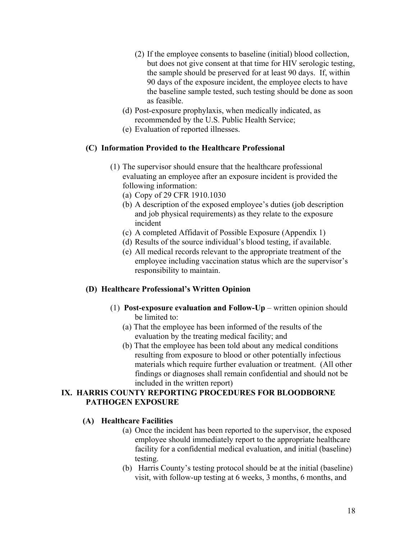- (2) If the employee consents to baseline (initial) blood collection, but does not give consent at that time for HIV serologic testing, the sample should be preserved for at least 90 days. If, within 90 days of the exposure incident, the employee elects to have the baseline sample tested, such testing should be done as soon as feasible.
- (d) Post-exposure prophylaxis, when medically indicated, as recommended by the U.S. Public Health Service;
- (e) Evaluation of reported illnesses.

## **(C) Information Provided to the Healthcare Professional**

- (1) The supervisor should ensure that the healthcare professional evaluating an employee after an exposure incident is provided the following information:
	- (a) Copy of 29 CFR 1910.1030
	- (b) A description of the exposed employee's duties (job description and job physical requirements) as they relate to the exposure incident
	- (c) A completed Affidavit of Possible Exposure (Appendix 1)
	- (d) Results of the source individual's blood testing, if available.
	- (e) All medical records relevant to the appropriate treatment of the employee including vaccination status which are the supervisor's responsibility to maintain.

# **(D) Healthcare Professional's Written Opinion**

- (1) **Post-exposure evaluation and Follow-Up** written opinion should be limited to:
	- (a) That the employee has been informed of the results of the evaluation by the treating medical facility; and
	- (b) That the employee has been told about any medical conditions resulting from exposure to blood or other potentially infectious materials which require further evaluation or treatment. (All other findings or diagnoses shall remain confidential and should not be included in the written report)

## **IX. HARRIS COUNTY REPORTING PROCEDURES FOR BLOODBORNE PATHOGEN EXPOSURE**

# **(A) Healthcare Facilities**

- (a) Once the incident has been reported to the supervisor, the exposed employee should immediately report to the appropriate healthcare facility for a confidential medical evaluation, and initial (baseline) testing.
- (b) Harris County's testing protocol should be at the initial (baseline) visit, with follow-up testing at 6 weeks, 3 months, 6 months, and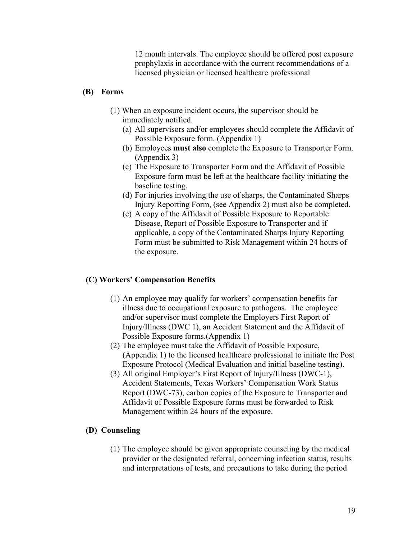12 month intervals. The employee should be offered post exposure prophylaxis in accordance with the current recommendations of a licensed physician or licensed healthcare professional

## **(B) Forms**

- (1) When an exposure incident occurs, the supervisor should be immediately notified.
	- (a) All supervisors and/or employees should complete the Affidavit of Possible Exposure form. (Appendix 1)
	- (b) Employees **must also** complete the Exposure to Transporter Form. (Appendix 3)
	- (c) The Exposure to Transporter Form and the Affidavit of Possible Exposure form must be left at the healthcare facility initiating the baseline testing.
	- (d) For injuries involving the use of sharps, the Contaminated Sharps Injury Reporting Form, (see Appendix 2) must also be completed.
	- (e) A copy of the Affidavit of Possible Exposure to Reportable Disease, Report of Possible Exposure to Transporter and if applicable, a copy of the Contaminated Sharps Injury Reporting Form must be submitted to Risk Management within 24 hours of the exposure.

## **(C) Workers' Compensation Benefits**

- (1) An employee may qualify for workers' compensation benefits for illness due to occupational exposure to pathogens. The employee and/or supervisor must complete the Employers First Report of Injury/Illness (DWC 1), an Accident Statement and the Affidavit of Possible Exposure forms.(Appendix 1)
- (2) The employee must take the Affidavit of Possible Exposure, (Appendix 1) to the licensed healthcare professional to initiate the Post Exposure Protocol (Medical Evaluation and initial baseline testing).
- (3) All original Employer's First Report of Injury/Illness (DWC-1), Accident Statements, Texas Workers' Compensation Work Status Report (DWC-73), carbon copies of the Exposure to Transporter and Affidavit of Possible Exposure forms must be forwarded to Risk Management within 24 hours of the exposure.

### **(D) Counseling**

(1) The employee should be given appropriate counseling by the medical provider or the designated referral, concerning infection status, results and interpretations of tests, and precautions to take during the period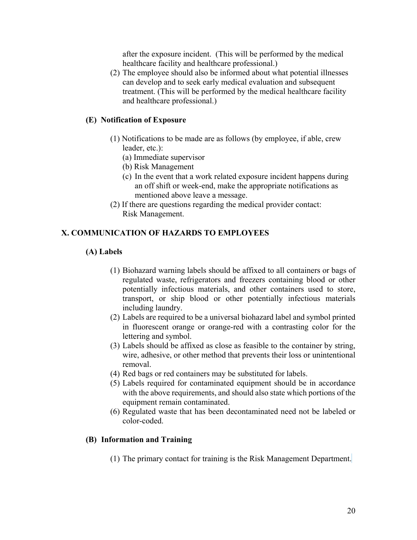after the exposure incident. (This will be performed by the medical healthcare facility and healthcare professional.)

(2) The employee should also be informed about what potential illnesses can develop and to seek early medical evaluation and subsequent treatment. (This will be performed by the medical healthcare facility and healthcare professional.)

## **(E) Notification of Exposure**

- (1) Notifications to be made are as follows (by employee, if able, crew leader, etc.):
	- (a) Immediate supervisor
	- (b) Risk Management
	- (c) In the event that a work related exposure incident happens during an off shift or week-end, make the appropriate notifications as mentioned above leave a message.
- (2) If there are questions regarding the medical provider contact: Risk Management.

## **X. COMMUNICATION OF HAZARDS TO EMPLOYEES**

### **(A) Labels**

- (1) Biohazard warning labels should be affixed to all containers or bags of regulated waste, refrigerators and freezers containing blood or other potentially infectious materials, and other containers used to store, transport, or ship blood or other potentially infectious materials including laundry.
- (2) Labels are required to be a universal biohazard label and symbol printed in fluorescent orange or orange-red with a contrasting color for the lettering and symbol.
- (3) Labels should be affixed as close as feasible to the container by string, wire, adhesive, or other method that prevents their loss or unintentional removal.
- (4) Red bags or red containers may be substituted for labels.
- (5) Labels required for contaminated equipment should be in accordance with the above requirements, and should also state which portions of the equipment remain contaminated.
- (6) Regulated waste that has been decontaminated need not be labeled or color-coded.

### **(B) Information and Training**

(1) The primary contact for training is the Risk Management Department.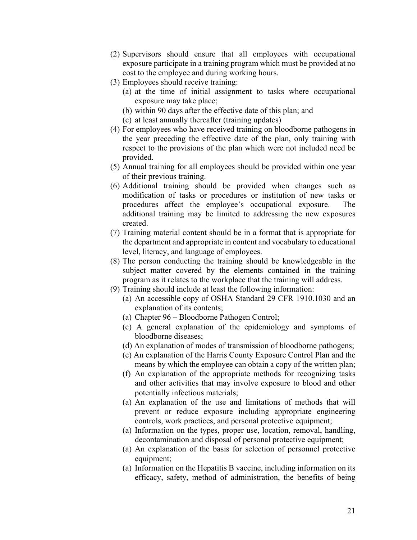- (2) Supervisors should ensure that all employees with occupational exposure participate in a training program which must be provided at no cost to the employee and during working hours.
- (3) Employees should receive training:
	- (a) at the time of initial assignment to tasks where occupational exposure may take place;
	- (b) within 90 days after the effective date of this plan; and
	- (c) at least annually thereafter (training updates)
- (4) For employees who have received training on bloodborne pathogens in the year preceding the effective date of the plan, only training with respect to the provisions of the plan which were not included need be provided.
- (5) Annual training for all employees should be provided within one year of their previous training.
- (6) Additional training should be provided when changes such as modification of tasks or procedures or institution of new tasks or procedures affect the employee's occupational exposure. The additional training may be limited to addressing the new exposures created.
- (7) Training material content should be in a format that is appropriate for the department and appropriate in content and vocabulary to educational level, literacy, and language of employees.
- (8) The person conducting the training should be knowledgeable in the subject matter covered by the elements contained in the training program as it relates to the workplace that the training will address.
- (9) Training should include at least the following information:
	- (a) An accessible copy of OSHA Standard 29 CFR 1910.1030 and an explanation of its contents;
	- (a) Chapter 96 Bloodborne Pathogen Control;
	- (c) A general explanation of the epidemiology and symptoms of bloodborne diseases;
	- (d) An explanation of modes of transmission of bloodborne pathogens;
	- (e) An explanation of the Harris County Exposure Control Plan and the means by which the employee can obtain a copy of the written plan;
	- (f) An explanation of the appropriate methods for recognizing tasks and other activities that may involve exposure to blood and other potentially infectious materials;
	- (a) An explanation of the use and limitations of methods that will prevent or reduce exposure including appropriate engineering controls, work practices, and personal protective equipment;
	- (a) Information on the types, proper use, location, removal, handling, decontamination and disposal of personal protective equipment;
	- (a) An explanation of the basis for selection of personnel protective equipment;
	- (a) Information on the Hepatitis B vaccine, including information on its efficacy, safety, method of administration, the benefits of being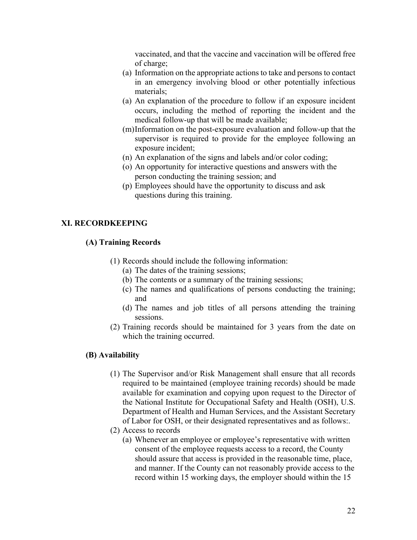vaccinated, and that the vaccine and vaccination will be offered free of charge;

- (a) Information on the appropriate actions to take and persons to contact in an emergency involving blood or other potentially infectious materials;
- (a) An explanation of the procedure to follow if an exposure incident occurs, including the method of reporting the incident and the medical follow-up that will be made available;
- (m)Information on the post-exposure evaluation and follow-up that the supervisor is required to provide for the employee following an exposure incident;
- (n) An explanation of the signs and labels and/or color coding;
- (o) An opportunity for interactive questions and answers with the person conducting the training session; and
- (p) Employees should have the opportunity to discuss and ask questions during this training.

## **XI. RECORDKEEPING**

### **(A) Training Records**

- (1) Records should include the following information:
	- (a) The dates of the training sessions;
	- (b) The contents or a summary of the training sessions;
	- (c) The names and qualifications of persons conducting the training; and
	- (d) The names and job titles of all persons attending the training sessions.
- (2) Training records should be maintained for 3 years from the date on which the training occurred.

#### **(B) Availability**

- (1) The Supervisor and/or Risk Management shall ensure that all records required to be maintained (employee training records) should be made available for examination and copying upon request to the Director of the National Institute for Occupational Safety and Health (OSH), U.S. Department of Health and Human Services, and the Assistant Secretary of Labor for OSH, or their designated representatives and as follows:.
- (2) Access to records
	- (a) Whenever an employee or employee's representative with written consent of the employee requests access to a record, the County should assure that access is provided in the reasonable time, place, and manner. If the County can not reasonably provide access to the record within 15 working days, the employer should within the 15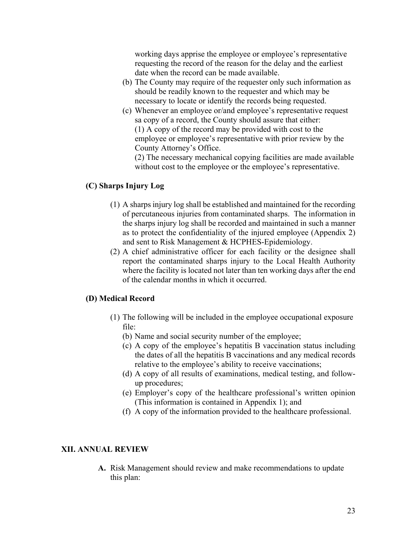working days apprise the employee or employee's representative requesting the record of the reason for the delay and the earliest date when the record can be made available.

- (b) The County may require of the requester only such information as should be readily known to the requester and which may be necessary to locate or identify the records being requested.
- (c) Whenever an employee or/and employee's representative request sa copy of a record, the County should assure that either: (1) A copy of the record may be provided with cost to the employee or employee's representative with prior review by the County Attorney's Office.

(2) The necessary mechanical copying facilities are made available without cost to the employee or the employee's representative.

## **(C) Sharps Injury Log**

- (1) A sharps injury log shall be established and maintained for the recording of percutaneous injuries from contaminated sharps. The information in the sharps injury log shall be recorded and maintained in such a manner as to protect the confidentiality of the injured employee (Appendix 2) and sent to Risk Management & HCPHES-Epidemiology.
- (2) A chief administrative officer for each facility or the designee shall report the contaminated sharps injury to the Local Health Authority where the facility is located not later than ten working days after the end of the calendar months in which it occurred.

#### **(D) Medical Record**

- (1) The following will be included in the employee occupational exposure file:
	- (b) Name and social security number of the employee;
	- (c) A copy of the employee's hepatitis B vaccination status including the dates of all the hepatitis B vaccinations and any medical records relative to the employee's ability to receive vaccinations;
	- (d) A copy of all results of examinations, medical testing, and followup procedures;
	- (e) Employer's copy of the healthcare professional's written opinion (This information is contained in Appendix 1); and
	- (f) A copy of the information provided to the healthcare professional.

### **XII. ANNUAL REVIEW**

**A.** Risk Management should review and make recommendations to update this plan: